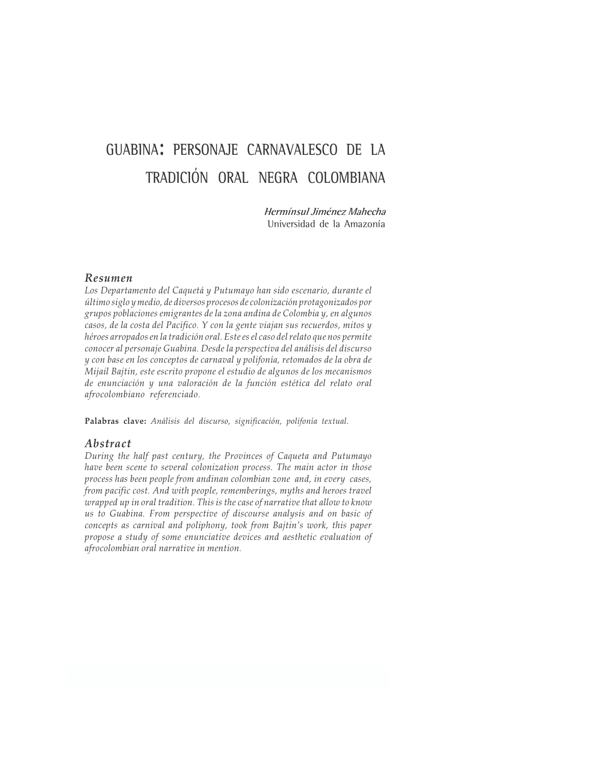# GUABINA: PERSONAJE CARNAVALESCO DE LA TRADICIÓN ORAL NEGRA COLOMBIANA

Hermínsul Jiménez Mahecha Universidad de la Amazonía

# Resumen

Los Departamento del Caquetá y Putumayo han sido escenario, durante el último siglo y medio, de diversos procesos de colonización protagonizados por grupos poblaciones emigrantes de la zona andina de Colombia y, en algunos casos, de la costa del Pacífico. Y con la gente viajan sus recuerdos, mitos y héroes arropados en la tradición oral. Este es el caso del relato que nos permite conocer al personaje Guabina. Desde la perspectiva del análisis del discurso y con base en los conceptos de carnaval y polifonía, retomados de la obra de Mijail Bajtin, este escrito propone el estudio de algunos de los mecanismos de enunciación y una valoración de la función estética del relato oral afrocolombiano referenciado.

Palabras clave: Análisis del discurso, significación, polifonía textual.

# Abstract

During the half past century, the Provinces of Caqueta and Putumayo have been scene to several colonization process. The main actor in those process has been people from andinan colombian zone and, in every cases, from pacific cost. And with people, rememberings, myths and heroes travel wrapped up in oral tradition. This is the case of narrative that allow to know us to Guabina. From perspective of discourse analysis and on basic of concepts as carnival and poliphony, took from Bajtin's work, this paper propose a study of some enunciative devices and aesthetic evaluation of afrocolombian oral narrative in mention.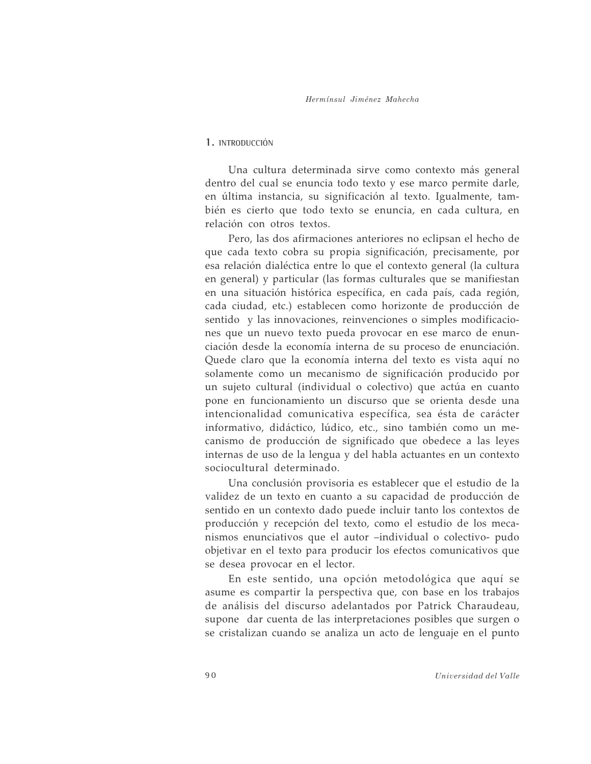# 1. INTRODUCCIÓN

Una cultura determinada sirve como contexto más general dentro del cual se enuncia todo texto y ese marco permite darle, en última instancia, su significación al texto. Igualmente, también es cierto que todo texto se enuncia, en cada cultura, en relación con otros textos.

Pero, las dos afirmaciones anteriores no eclipsan el hecho de que cada texto cobra su propia significación, precisamente, por esa relación dialéctica entre lo que el contexto general (la cultura en general) y particular (las formas culturales que se manifiestan en una situación histórica específica, en cada país, cada región, cada ciudad, etc.) establecen como horizonte de producción de sentido y las innovaciones, reinvenciones o simples modificaciones que un nuevo texto pueda provocar en ese marco de enunciación desde la economía interna de su proceso de enunciación. Quede claro que la economía interna del texto es vista aquí no solamente como un mecanismo de significación producido por un sujeto cultural (individual o colectivo) que actúa en cuanto pone en funcionamiento un discurso que se orienta desde una intencionalidad comunicativa específica, sea ésta de carácter informativo, didáctico, lúdico, etc., sino también como un mecanismo de producción de significado que obedece a las leyes internas de uso de la lengua y del habla actuantes en un contexto sociocultural determinado.

Una conclusión provisoria es establecer que el estudio de la validez de un texto en cuanto a su capacidad de producción de sentido en un contexto dado puede incluir tanto los contextos de producción y recepción del texto, como el estudio de los mecanismos enunciativos que el autor -individual o colectivo- pudo objetivar en el texto para producir los efectos comunicativos que se desea provocar en el lector.

En este sentido, una opción metodológica que aquí se asume es compartir la perspectiva que, con base en los trabajos de análisis del discurso adelantados por Patrick Charaudeau, supone dar cuenta de las interpretaciones posibles que surgen o se cristalizan cuando se analiza un acto de lenguaje en el punto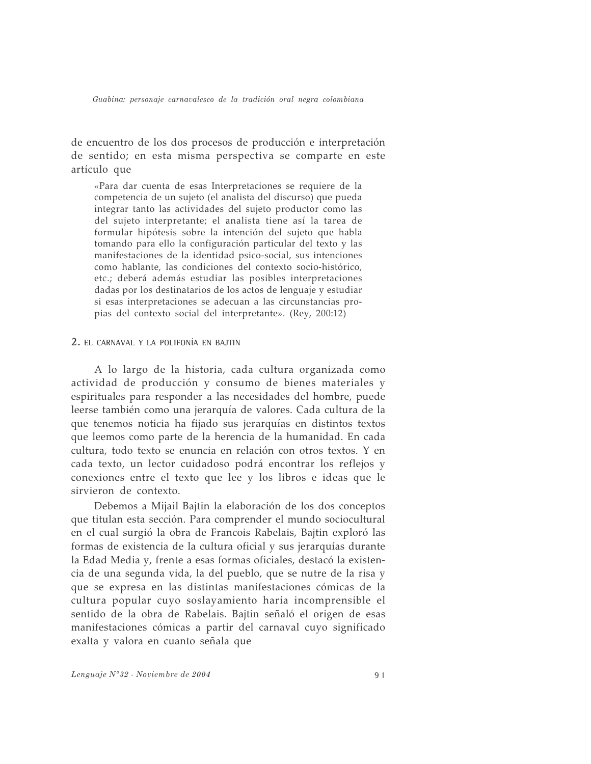de encuentro de los dos procesos de producción e interpretación de sentido; en esta misma perspectiva se comparte en este artículo que

«Para dar cuenta de esas Interpretaciones se requiere de la competencia de un sujeto (el analista del discurso) que pueda integrar tanto las actividades del sujeto productor como las del sujeto interpretante; el analista tiene así la tarea de formular hipótesis sobre la intención del sujeto que habla tomando para ello la configuración particular del texto y las manifestaciones de la identidad psico-social, sus intenciones como hablante, las condiciones del contexto socio-histórico, etc.; deberá además estudiar las posibles interpretaciones dadas por los destinatarios de los actos de lenguaje y estudiar si esas interpretaciones se adecuan a las circunstancias propias del contexto social del interpretante». (Rey, 200:12)

# 2. EL CARNAVAL Y LA POLIFONÍA EN BAJTIN

A lo largo de la historia, cada cultura organizada como actividad de producción y consumo de bienes materiales y espirituales para responder a las necesidades del hombre, puede leerse también como una jerarquía de valores. Cada cultura de la que tenemos noticia ha fijado sus jerarquías en distintos textos que leemos como parte de la herencia de la humanidad. En cada cultura, todo texto se enuncia en relación con otros textos. Y en cada texto, un lector cuidadoso podrá encontrar los reflejos y conexiones entre el texto que lee y los libros e ideas que le sirvieron de contexto.

Debemos a Mijail Bajtin la elaboración de los dos conceptos que titulan esta sección. Para comprender el mundo sociocultural en el cual surgió la obra de Francois Rabelais, Bajtin exploró las formas de existencia de la cultura oficial y sus jerarquías durante la Edad Media y, frente a esas formas oficiales, destacó la existencia de una segunda vida, la del pueblo, que se nutre de la risa y que se expresa en las distintas manifestaciones cómicas de la cultura popular cuyo soslayamiento haría incomprensible el sentido de la obra de Rabelais. Bajtin señaló el origen de esas manifestaciones cómicas a partir del carnaval cuyo significado exalta y valora en cuanto señala que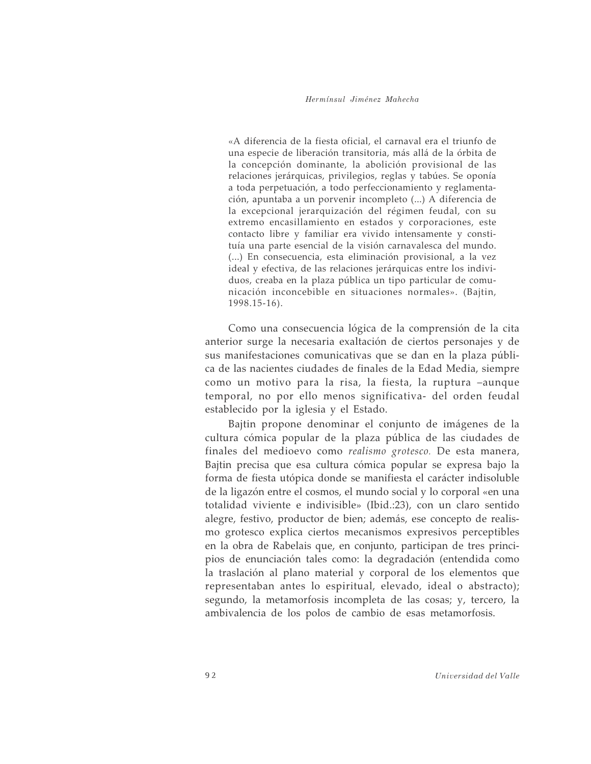#### Hermínsul Jiménez Mahecha

«A diferencia de la fiesta oficial, el carnaval era el triunfo de una especie de liberación transitoria, más allá de la órbita de la concepción dominante, la abolición provisional de las relaciones jerárquicas, privilegios, reglas y tabúes. Se oponía a toda perpetuación, a todo perfeccionamiento y reglamentación, apuntaba a un porvenir incompleto (...) A diferencia de la excepcional jerarquización del régimen feudal, con su extremo encasillamiento en estados y corporaciones, este contacto libre y familiar era vivido intensamente y constituía una parte esencial de la visión carnavalesca del mundo. (...) En consecuencia, esta eliminación provisional, a la vez ideal y efectiva, de las relaciones jerárquicas entre los individuos, creaba en la plaza pública un tipo particular de comunicación inconcebible en situaciones normales». (Bajtin,  $1998.15 - 16$ .

Como una consecuencia lógica de la comprensión de la cita anterior surge la necesaria exaltación de ciertos personajes y de sus manifestaciones comunicativas que se dan en la plaza pública de las nacientes ciudades de finales de la Edad Media, siempre como un motivo para la risa, la fiesta, la ruptura -aunque temporal, no por ello menos significativa- del orden feudal establecido por la iglesia y el Estado.

Bajtin propone denominar el conjunto de imágenes de la cultura cómica popular de la plaza pública de las ciudades de finales del medioevo como realismo grotesco. De esta manera, Bajtin precisa que esa cultura cómica popular se expresa bajo la forma de fiesta utópica donde se manifiesta el carácter indisoluble de la ligazón entre el cosmos, el mundo social y lo corporal «en una totalidad viviente e indivisible» (Ibid.:23), con un claro sentido alegre, festivo, productor de bien; además, ese concepto de realismo grotesco explica ciertos mecanismos expresivos perceptibles en la obra de Rabelais que, en conjunto, participan de tres principios de enunciación tales como: la degradación (entendida como la traslación al plano material y corporal de los elementos que representaban antes lo espiritual, elevado, ideal o abstracto); segundo, la metamorfosis incompleta de las cosas; y, tercero, la ambivalencia de los polos de cambio de esas metamorfosis.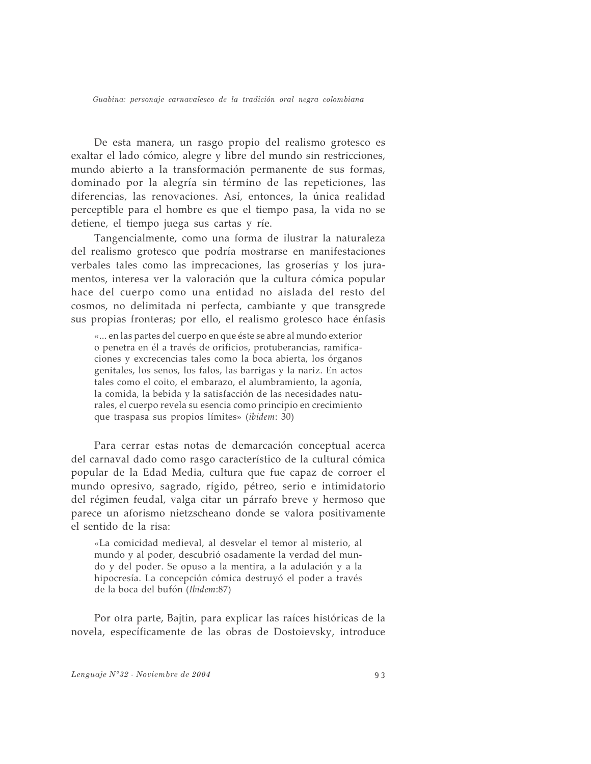De esta manera, un rasgo propio del realismo grotesco es exaltar el lado cómico, alegre y libre del mundo sin restricciones, mundo abierto a la transformación permanente de sus formas, dominado por la alegría sin término de las repeticiones, las diferencias, las renovaciones. Así, entonces, la única realidad perceptible para el hombre es que el tiempo pasa, la vida no se detiene, el tiempo juega sus cartas y ríe.

Tangencialmente, como una forma de ilustrar la naturaleza del realismo grotesco que podría mostrarse en manifestaciones verbales tales como las imprecaciones, las groserías y los juramentos, interesa ver la valoración que la cultura cómica popular hace del cuerpo como una entidad no aislada del resto del cosmos, no delimitada ni perfecta, cambiante y que transgrede sus propias fronteras; por ello, el realismo grotesco hace énfasis

«... en las partes del cuerpo en que éste se abre al mundo exterior o penetra en él a través de orificios, protuberancias, ramificaciones y excrecencias tales como la boca abierta, los órganos genitales, los senos, los falos, las barrigas y la nariz. En actos tales como el coito, el embarazo, el alumbramiento, la agonía, la comida, la bebida y la satisfacción de las necesidades naturales, el cuerpo revela su esencia como principio en crecimiento que traspasa sus propios límites» (ibidem: 30)

Para cerrar estas notas de demarcación conceptual acerca del carnaval dado como rasgo característico de la cultural cómica popular de la Edad Media, cultura que fue capaz de corroer el mundo opresivo, sagrado, rígido, pétreo, serio e intimidatorio del régimen feudal, valga citar un párrafo breve y hermoso que parece un aforismo nietzscheano donde se valora positivamente el sentido de la risa:

«La comicidad medieval, al desvelar el temor al misterio, al mundo y al poder, descubrió osadamente la verdad del mundo y del poder. Se opuso a la mentira, a la adulación y a la hipocresía. La concepción cómica destruyó el poder a través de la boca del bufón (Ibidem:87)

Por otra parte, Bajtin, para explicar las raíces históricas de la novela, específicamente de las obras de Dostoievsky, introduce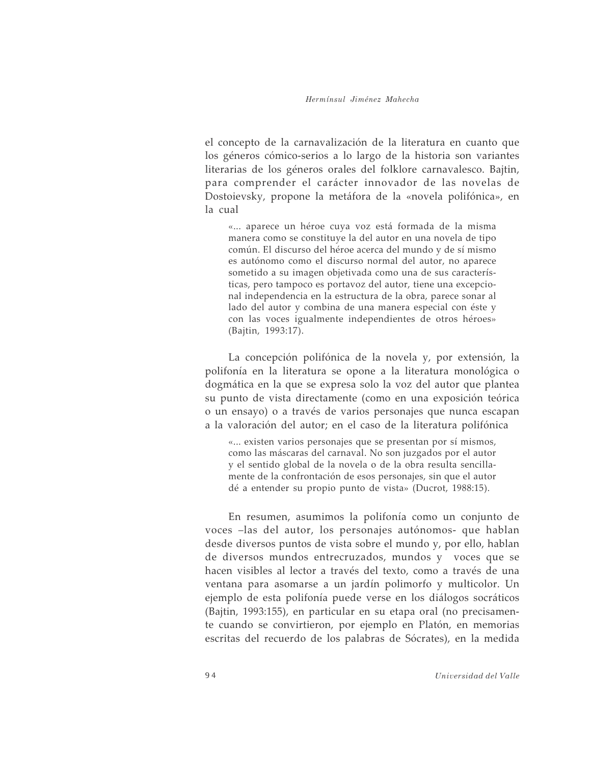el concepto de la carnavalización de la literatura en cuanto que los géneros cómico-serios a lo largo de la historia son variantes literarias de los géneros orales del folklore carnavalesco. Bajtin, para comprender el carácter innovador de las novelas de Dostoievsky, propone la metáfora de la «novela polifónica», en la cual

«... aparece un héroe cuya voz está formada de la misma manera como se constituye la del autor en una novela de tipo común. El discurso del héroe acerca del mundo y de sí mismo es autónomo como el discurso normal del autor, no aparece sometido a su imagen objetivada como una de sus características, pero tampoco es portavoz del autor, tiene una excepcional independencia en la estructura de la obra, parece sonar al lado del autor y combina de una manera especial con éste y con las voces igualmente independientes de otros héroes» (Bajtin, 1993:17).

La concepción polifónica de la novela y, por extensión, la polifonía en la literatura se opone a la literatura monológica o dogmática en la que se expresa solo la voz del autor que plantea su punto de vista directamente (como en una exposición teórica o un ensayo) o a través de varios personajes que nunca escapan a la valoración del autor; en el caso de la literatura polifónica

«... existen varios personajes que se presentan por sí mismos, como las máscaras del carnaval. No son juzgados por el autor y el sentido global de la novela o de la obra resulta sencillamente de la confrontación de esos personajes, sin que el autor dé a entender su propio punto de vista» (Ducrot, 1988:15).

En resumen, asumimos la polifonía como un conjunto de voces -las del autor, los personajes autónomos- que hablan desde diversos puntos de vista sobre el mundo y, por ello, hablan de diversos mundos entrecruzados, mundos y voces que se hacen visibles al lector a través del texto, como a través de una ventana para asomarse a un jardín polimorfo y multicolor. Un ejemplo de esta polifonía puede verse en los diálogos socráticos (Bajtin, 1993:155), en particular en su etapa oral (no precisamente cuando se convirtieron, por ejemplo en Platón, en memorias escritas del recuerdo de los palabras de Sócrates), en la medida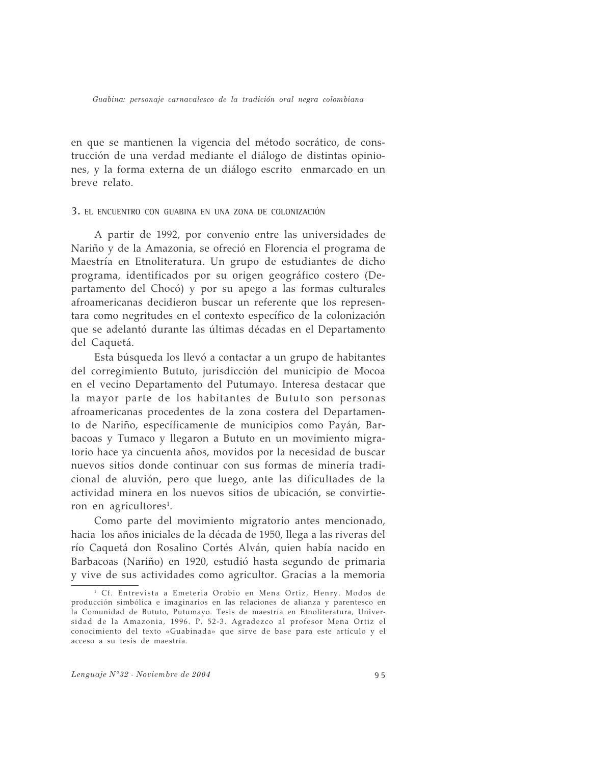en que se mantienen la vigencia del método socrático, de construcción de una verdad mediante el diálogo de distintas opiniones, y la forma externa de un diálogo escrito enmarcado en un breve relato.

## 3. EL ENCUENTRO CON GUABINA EN UNA ZONA DE COLONIZACIÓN

A partir de 1992, por convenio entre las universidades de Nariño y de la Amazonia, se ofreció en Florencia el programa de Maestría en Etnoliteratura. Un grupo de estudiantes de dicho programa, identificados por su origen geográfico costero (Departamento del Chocó) y por su apego a las formas culturales afroamericanas decidieron buscar un referente que los representara como negritudes en el contexto específico de la colonización que se adelantó durante las últimas décadas en el Departamento del Caquetá.

Esta búsqueda los llevó a contactar a un grupo de habitantes del corregimiento Bututo, jurisdicción del municipio de Mocoa en el vecino Departamento del Putumayo. Interesa destacar que la mayor parte de los habitantes de Bututo son personas afroamericanas procedentes de la zona costera del Departamento de Nariño, específicamente de municipios como Payán, Barbacoas y Tumaco y llegaron a Bututo en un movimiento migratorio hace ya cincuenta años, movidos por la necesidad de buscar nuevos sitios donde continuar con sus formas de minería tradicional de aluvión, pero que luego, ante las dificultades de la actividad minera en los nuevos sitios de ubicación, se convirtieron en agricultores<sup>1</sup>.

Como parte del movimiento migratorio antes mencionado, hacia los años iniciales de la década de 1950, llega a las riveras del río Caquetá don Rosalino Cortés Alván, quien había nacido en Barbacoas (Nariño) en 1920, estudió hasta segundo de primaria y vive de sus actividades como agricultor. Gracias a la memoria

<sup>&</sup>lt;sup>1</sup> Cf. Entrevista a Emeteria Orobio en Mena Ortiz, Henry. Modos de producción simbólica e imaginarios en las relaciones de alianza y parentesco en la Comunidad de Bututo, Putumayo. Tesis de maestría en Etnoliteratura, Universidad de la Amazonia, 1996. P. 52-3. Agradezco al profesor Mena Ortiz el conocimiento del texto «Guabinada» que sirve de base para este artículo y el acceso a su tesis de maestría.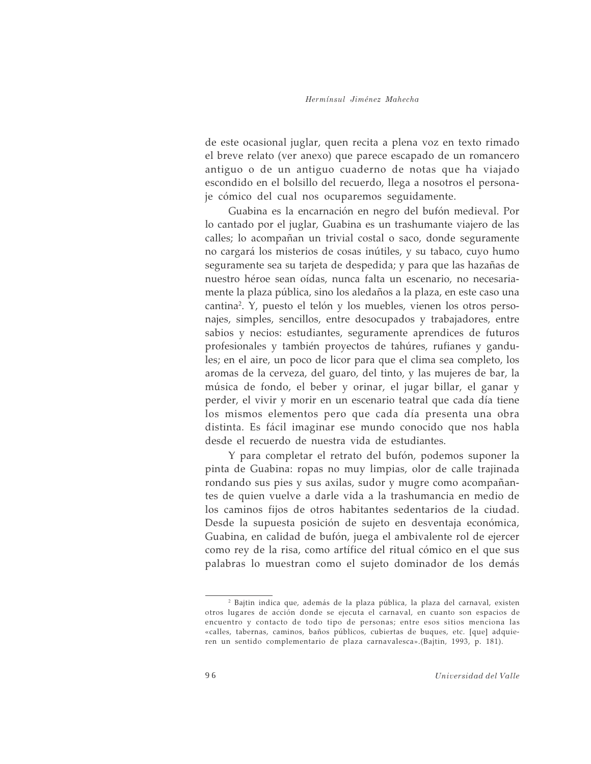de este ocasional juglar, quen recita a plena voz en texto rimado el breve relato (ver anexo) que parece escapado de un romancero antiguo o de un antiguo cuaderno de notas que ha viajado escondido en el bolsillo del recuerdo, llega a nosotros el personaje cómico del cual nos ocuparemos seguidamente.

Guabina es la encarnación en negro del bufón medieval. Por lo cantado por el juglar, Guabina es un trashumante viajero de las calles; lo acompañan un trivial costal o saco, donde seguramente no cargará los misterios de cosas inútiles, y su tabaco, cuyo humo seguramente sea su tarjeta de despedida; y para que las hazañas de nuestro héroe sean oídas, nunca falta un escenario, no necesariamente la plaza pública, sino los aledaños a la plaza, en este caso una cantina<sup>2</sup>. Y, puesto el telón y los muebles, vienen los otros personajes, simples, sencillos, entre desocupados y trabajadores, entre sabios y necios: estudiantes, seguramente aprendices de futuros profesionales y también proyectos de tahúres, rufianes y gandules; en el aire, un poco de licor para que el clima sea completo, los aromas de la cerveza, del guaro, del tinto, y las mujeres de bar, la música de fondo, el beber y orinar, el jugar billar, el ganar y perder, el vivir y morir en un escenario teatral que cada día tiene los mismos elementos pero que cada día presenta una obra distinta. Es fácil imaginar ese mundo conocido que nos habla desde el recuerdo de nuestra vida de estudiantes.

Y para completar el retrato del bufón, podemos suponer la pinta de Guabina: ropas no muy limpias, olor de calle trajinada rondando sus pies y sus axilas, sudor y mugre como acompañantes de quien vuelve a darle vida a la trashumancia en medio de los caminos fijos de otros habitantes sedentarios de la ciudad. Desde la supuesta posición de sujeto en desventaja económica, Guabina, en calidad de bufón, juega el ambivalente rol de ejercer como rey de la risa, como artífice del ritual cómico en el que sus palabras lo muestran como el sujeto dominador de los demás

<sup>&</sup>lt;sup>2</sup> Bajtin indica que, además de la plaza pública, la plaza del carnaval, existen otros lugares de acción donde se ejecuta el carnaval, en cuanto son espacios de encuentro y contacto de todo tipo de personas; entre esos sitios menciona las «calles, tabernas, caminos, baños públicos, cubiertas de buques, etc. [que] adquieren un sentido complementario de plaza carnavalesca».(Bajtin, 1993, p. 181).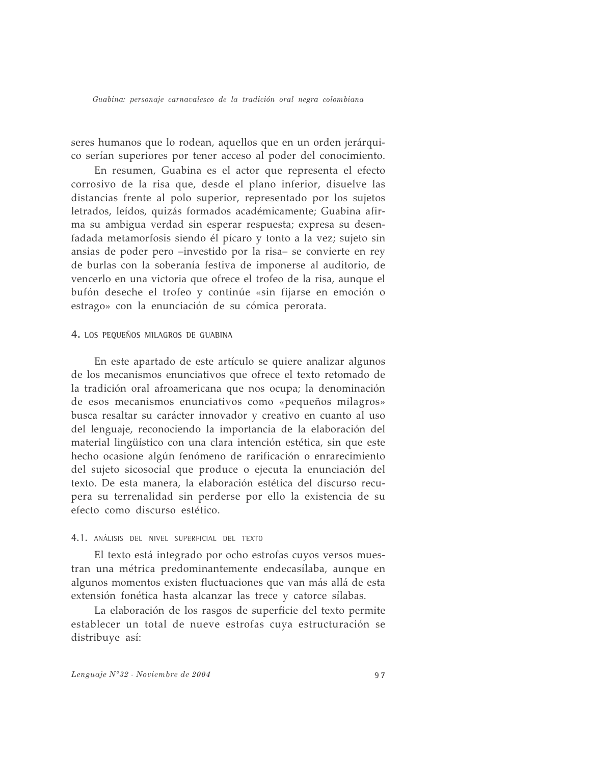seres humanos que lo rodean, aquellos que en un orden jerárquico serían superiores por tener acceso al poder del conocimiento.

En resumen, Guabina es el actor que representa el efecto corrosivo de la risa que, desde el plano inferior, disuelve las distancias frente al polo superior, representado por los sujetos letrados, leídos, quizás formados académicamente; Guabina afirma su ambigua verdad sin esperar respuesta; expresa su desenfadada metamorfosis siendo él pícaro y tonto a la vez; sujeto sin ansias de poder pero -investido por la risa- se convierte en rey de burlas con la soberanía festiva de imponerse al auditorio, de vencerlo en una victoria que ofrece el trofeo de la risa, aunque el bufón deseche el trofeo y continúe «sin fijarse en emoción o estrago» con la enunciación de su cómica perorata.

## 4. LOS PEQUEÑOS MILAGROS DE GUABINA

En este apartado de este artículo se quiere analizar algunos de los mecanismos enunciativos que ofrece el texto retomado de la tradición oral afroamericana que nos ocupa; la denominación de esos mecanismos enunciativos como «pequeños milagros» busca resaltar su carácter innovador y creativo en cuanto al uso del lenguaje, reconociendo la importancia de la elaboración del material lingüístico con una clara intención estética, sin que este hecho ocasione algún fenómeno de rarificación o enrarecimiento del sujeto sicosocial que produce o ejecuta la enunciación del texto. De esta manera, la elaboración estética del discurso recupera su terrenalidad sin perderse por ello la existencia de su efecto como discurso estético.

#### 4.1. ANÁLISIS DEL NIVEL SUPERFICIAL DEL TEXTO

El texto está integrado por ocho estrofas cuyos versos muestran una métrica predominantemente endecasílaba, aunque en algunos momentos existen fluctuaciones que van más allá de esta extensión fonética hasta alcanzar las trece y catorce sílabas.

La elaboración de los rasgos de superficie del texto permite establecer un total de nueve estrofas cuya estructuración se distribuye así: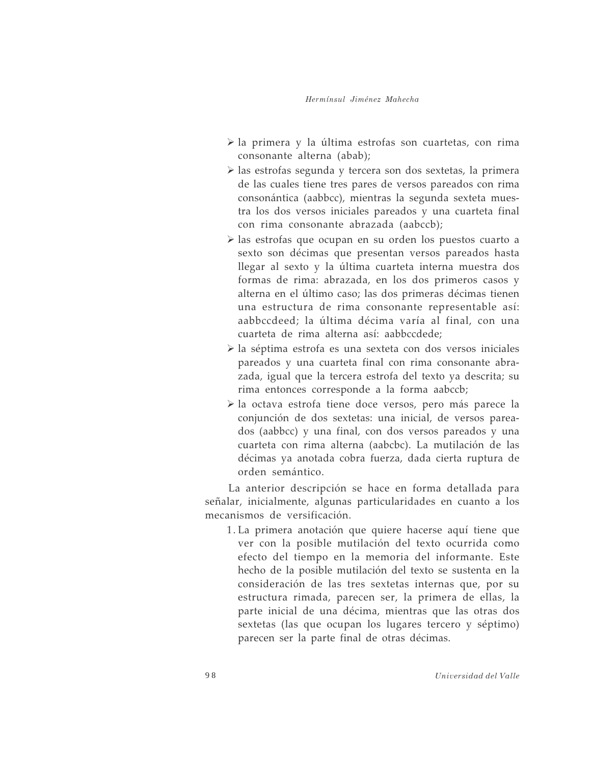- > la primera y la última estrofas son cuartetas, con rima consonante alterna (abab);
- > las estrofas segunda y tercera son dos sextetas, la primera de las cuales tiene tres pares de versos pareados con rima consonántica (aabbcc), mientras la segunda sexteta muestra los dos versos iniciales pareados y una cuarteta final con rima consonante abrazada (aabccb);
- > las estrofas que ocupan en su orden los puestos cuarto a sexto son décimas que presentan versos pareados hasta llegar al sexto y la última cuarteta interna muestra dos formas de rima: abrazada, en los dos primeros casos y alterna en el último caso; las dos primeras décimas tienen una estructura de rima consonante representable así: aabbccdeed: la última décima varía al final, con una cuarteta de rima alterna así: aabbccdede;
- > la séptima estrofa es una sexteta con dos versos iniciales pareados y una cuarteta final con rima consonante abrazada, igual que la tercera estrofa del texto ya descrita; su rima entonces corresponde a la forma aabccb;
- $\triangleright$  la octava estrofa tiene doce versos, pero más parece la conjunción de dos sextetas: una inicial, de versos pareados (aabbcc) y una final, con dos versos pareados y una cuarteta con rima alterna (aabcbc). La mutilación de las décimas ya anotada cobra fuerza, dada cierta ruptura de orden semántico.

La anterior descripción se hace en forma detallada para señalar, inicialmente, algunas particularidades en cuanto a los mecanismos de versificación.

1. La primera anotación que quiere hacerse aquí tiene que ver con la posible mutilación del texto ocurrida como efecto del tiempo en la memoria del informante. Este hecho de la posible mutilación del texto se sustenta en la consideración de las tres sextetas internas que, por su estructura rimada, parecen ser, la primera de ellas, la parte inicial de una décima, mientras que las otras dos sextetas (las que ocupan los lugares tercero y séptimo) parecen ser la parte final de otras décimas.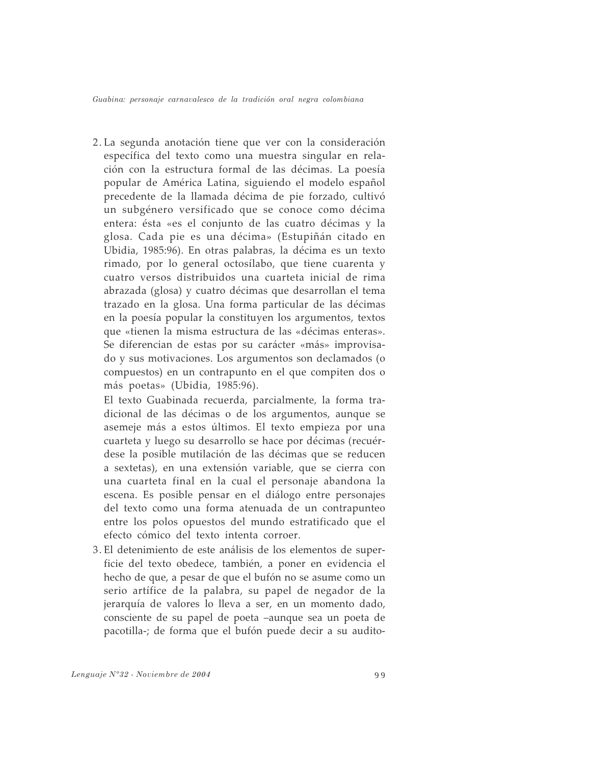2. La segunda anotación tiene que ver con la consideración específica del texto como una muestra singular en relación con la estructura formal de las décimas. La poesía popular de América Latina, siguiendo el modelo español precedente de la llamada décima de pie forzado, cultivó un subgénero versificado que se conoce como décima entera: ésta «es el conjunto de las cuatro décimas y la glosa. Cada pie es una décima» (Estupiñán citado en Ubidia, 1985:96). En otras palabras, la décima es un texto rimado, por lo general octosílabo, que tiene cuarenta y cuatro versos distribuidos una cuarteta inicial de rima abrazada (glosa) y cuatro décimas que desarrollan el tema trazado en la glosa. Una forma particular de las décimas en la poesía popular la constituyen los argumentos, textos que «tienen la misma estructura de las «décimas enteras». Se diferencian de estas por su carácter «más» improvisado y sus motivaciones. Los argumentos son declamados (o compuestos) en un contrapunto en el que compiten dos o más poetas» (Ubidia, 1985:96).

El texto Guabinada recuerda, parcialmente, la forma tradicional de las décimas o de los argumentos, aunque se asemeje más a estos últimos. El texto empieza por una cuarteta y luego su desarrollo se hace por décimas (recuérdese la posible mutilación de las décimas que se reducen a sextetas), en una extensión variable, que se cierra con una cuarteta final en la cual el personaje abandona la escena. Es posible pensar en el diálogo entre personajes del texto como una forma atenuada de un contrapunteo entre los polos opuestos del mundo estratificado que el efecto cómico del texto intenta corroer.

3. El detenimiento de este análisis de los elementos de superficie del texto obedece, también, a poner en evidencia el hecho de que, a pesar de que el bufón no se asume como un serio artífice de la palabra, su papel de negador de la jerarquía de valores lo lleva a ser, en un momento dado, consciente de su papel de poeta -aunque sea un poeta de pacotilla-; de forma que el bufón puede decir a su audito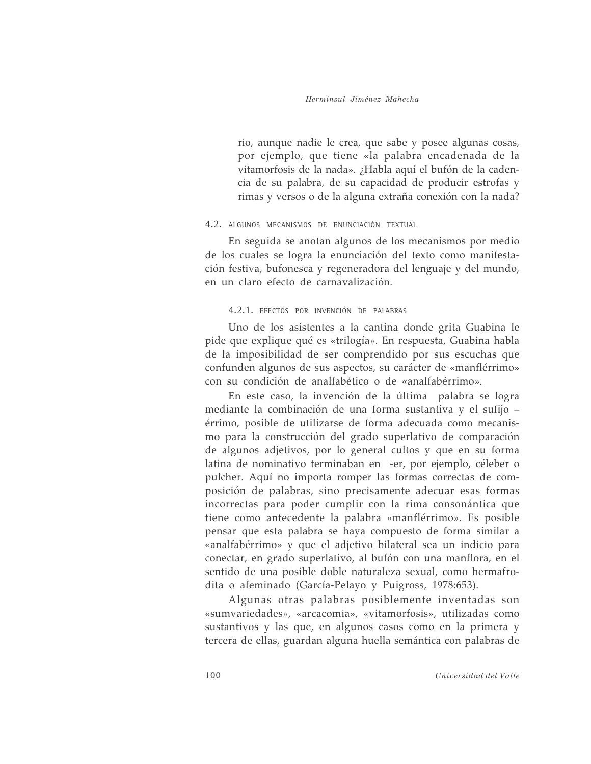rio, aunque nadie le crea, que sabe y posee algunas cosas, por ejemplo, que tiene «la palabra encadenada de la vitamorfosis de la nada». ¿Habla aquí el bufón de la cadencia de su palabra, de su capacidad de producir estrofas y rimas y versos o de la alguna extraña conexión con la nada?

## 4.2. ALGUNOS MECANISMOS DE ENUNCIACIÓN TEXTUAL

En seguida se anotan algunos de los mecanismos por medio de los cuales se logra la enunciación del texto como manifestación festiva, bufonesca y regeneradora del lenguaje y del mundo, en un claro efecto de carnavalización.

#### 4.2.1. EFECTOS POR INVENCIÓN DE PALABRAS

Uno de los asistentes a la cantina donde grita Guabina le pide que explique qué es «trilogía». En respuesta, Guabina habla de la imposibilidad de ser comprendido por sus escuchas que confunden algunos de sus aspectos, su carácter de «manflérrimo» con su condición de analfabético o de «analfabérrimo».

En este caso, la invención de la última palabra se logra mediante la combinación de una forma sustantiva y el sufijo érrimo, posible de utilizarse de forma adecuada como mecanismo para la construcción del grado superlativo de comparación de algunos adjetivos, por lo general cultos y que en su forma latina de nominativo terminaban en -er, por ejemplo, céleber o pulcher. Aquí no importa romper las formas correctas de composición de palabras, sino precisamente adecuar esas formas incorrectas para poder cumplir con la rima consonántica que tiene como antecedente la palabra «manflérrimo». Es posible pensar que esta palabra se haya compuesto de forma similar a «analfabérrimo» y que el adjetivo bilateral sea un indicio para conectar, en grado superlativo, al bufón con una manflora, en el sentido de una posible doble naturaleza sexual, como hermafrodita o afeminado (García-Pelayo y Puigross, 1978:653).

Algunas otras palabras posiblemente inventadas son «sumvariedades», «arcacomia», «vitamorfosis», utilizadas como sustantivos y las que, en algunos casos como en la primera y tercera de ellas, guardan alguna huella semántica con palabras de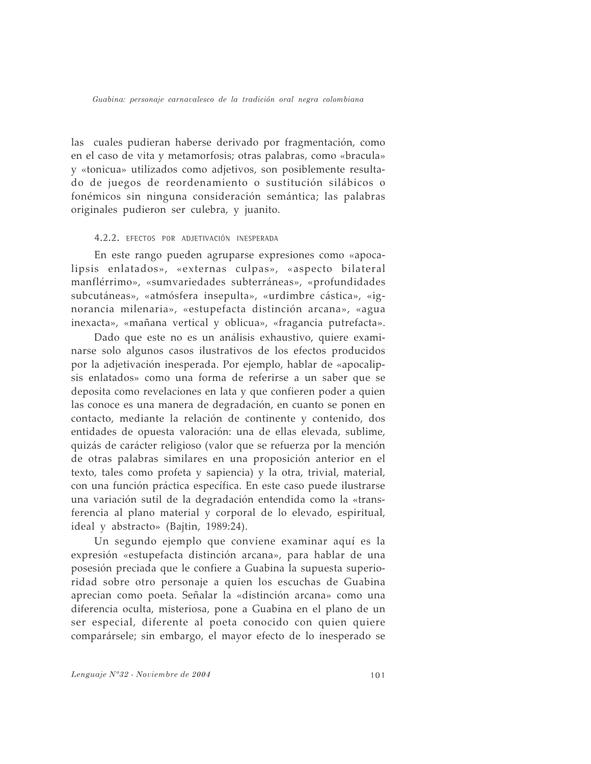las cuales pudieran haberse derivado por fragmentación, como en el caso de vita y metamorfosis; otras palabras, como «bracula» y «tonicua» utilizados como adjetivos, son posiblemente resultado de juegos de reordenamiento o sustitución silábicos o fonémicos sin ninguna consideración semántica; las palabras originales pudieron ser culebra, y juanito.

### 4.2.2. EFECTOS POR ADJETIVACIÓN INESPERADA

En este rango pueden agruparse expresiones como «apocalipsis enlatados», «externas culpas», «aspecto bilateral manflérrimo», «sumvariedades subterráneas», «profundidades subcutáneas», «atmósfera insepulta», «urdimbre cástica», «ignorancia milenaria», «estupefacta distinción arcana», «agua inexacta», «mañana vertical y oblicua», «fragancia putrefacta».

Dado que este no es un análisis exhaustivo, quiere examinarse solo algunos casos ilustrativos de los efectos producidos por la adjetivación inesperada. Por ejemplo, hablar de «apocalipsis enlatados» como una forma de referirse a un saber que se deposita como revelaciones en lata y que confieren poder a quien las conoce es una manera de degradación, en cuanto se ponen en contacto, mediante la relación de continente y contenido, dos entidades de opuesta valoración: una de ellas elevada, sublime, quizás de carácter religioso (valor que se refuerza por la mención de otras palabras similares en una proposición anterior en el texto, tales como profeta y sapiencia) y la otra, trivial, material, con una función práctica específica. En este caso puede ilustrarse una variación sutil de la degradación entendida como la «transferencia al plano material y corporal de lo elevado, espiritual, ideal y abstracto» (Bajtin, 1989:24).

Un segundo ejemplo que conviene examinar aquí es la expresión «estupefacta distinción arcana», para hablar de una posesión preciada que le confiere a Guabina la supuesta superioridad sobre otro personaje a quien los escuchas de Guabina aprecian como poeta. Señalar la «distinción arcana» como una diferencia oculta, misteriosa, pone a Guabina en el plano de un ser especial, diferente al poeta conocido con quien quiere comparársele; sin embargo, el mayor efecto de lo inesperado se

Lenguaje N°32 - Noviembre de 2004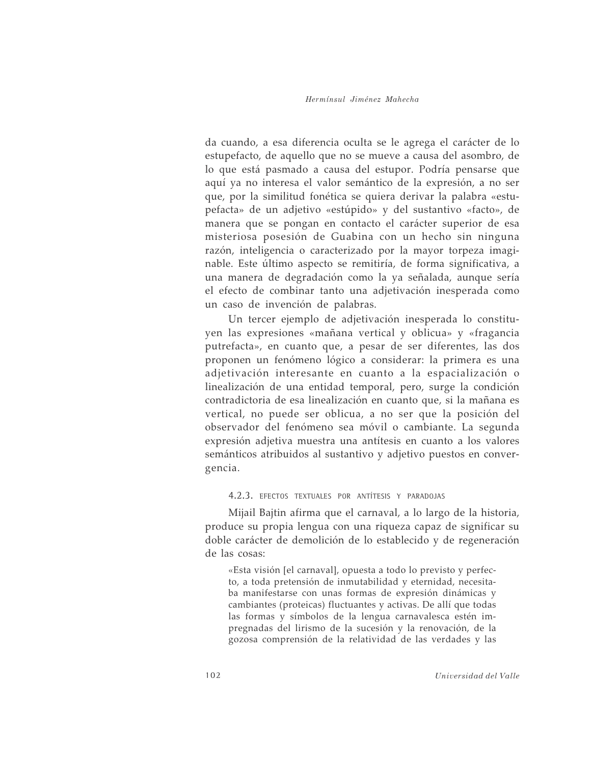da cuando, a esa diferencia oculta se le agrega el carácter de lo estupefacto, de aquello que no se mueve a causa del asombro, de lo que está pasmado a causa del estupor. Podría pensarse que aquí ya no interesa el valor semántico de la expresión, a no ser que, por la similitud fonética se quiera derivar la palabra «estupefacta» de un adjetivo «estúpido» y del sustantivo «facto», de manera que se pongan en contacto el carácter superior de esa misteriosa posesión de Guabina con un hecho sin ninguna razón, inteligencia o caracterizado por la mayor torpeza imaginable. Este último aspecto se remitiría, de forma significativa, a una manera de degradación como la ya señalada, aunque sería el efecto de combinar tanto una adjetivación inesperada como un caso de invención de palabras.

Un tercer ejemplo de adjetivación inesperada lo constituyen las expresiones «mañana vertical y oblicua» y «fragancia putrefacta», en cuanto que, a pesar de ser diferentes, las dos proponen un fenómeno lógico a considerar: la primera es una adjetivación interesante en cuanto a la espacialización o linealización de una entidad temporal, pero, surge la condición contradictoria de esa linealización en cuanto que, si la mañana es vertical, no puede ser oblicua, a no ser que la posición del observador del fenómeno sea móvil o cambiante. La segunda expresión adjetiva muestra una antítesis en cuanto a los valores semánticos atribuidos al sustantivo y adjetivo puestos en convergencia.

4.2.3. EFECTOS TEXTUALES POR ANTÍTESIS Y PARADOJAS

Mijail Bajtin afirma que el carnaval, a lo largo de la historia, produce su propia lengua con una riqueza capaz de significar su doble carácter de demolición de lo establecido y de regeneración de las cosas:

«Esta visión [el carnaval], opuesta a todo lo previsto y perfecto, a toda pretensión de inmutabilidad y eternidad, necesitaba manifestarse con unas formas de expresión dinámicas y cambiantes (proteicas) fluctuantes y activas. De allí que todas las formas y símbolos de la lengua carnavalesca estén impregnadas del lirismo de la sucesión y la renovación, de la gozosa comprensión de la relatividad de las verdades y las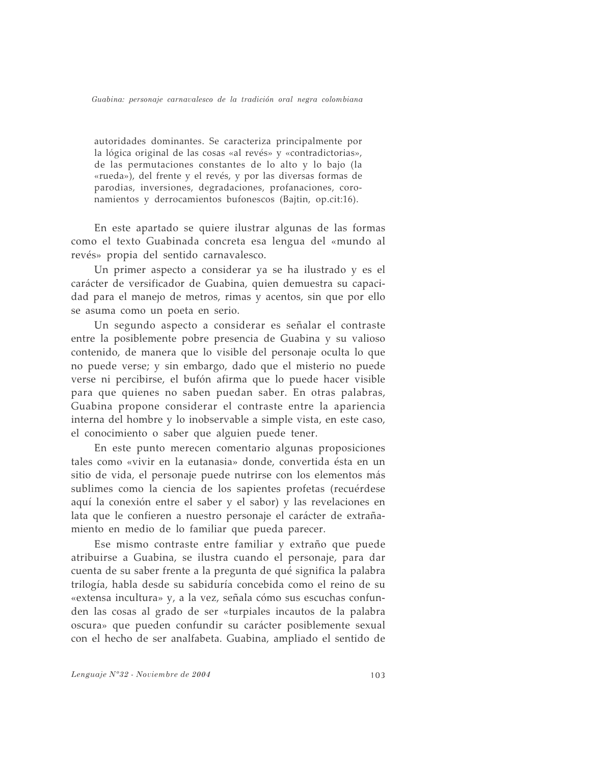autoridades dominantes. Se caracteriza principalmente por la lógica original de las cosas «al revés» y «contradictorias», de las permutaciones constantes de lo alto y lo bajo (la «rueda»), del frente y el revés, y por las diversas formas de parodias, inversiones, degradaciones, profanaciones, coronamientos y derrocamientos bufonescos (Bajtin, op.cit:16).

En este apartado se quiere ilustrar algunas de las formas como el texto Guabinada concreta esa lengua del «mundo al revés» propia del sentido carnavalesco.

Un primer aspecto a considerar ya se ha ilustrado y es el carácter de versificador de Guabina, quien demuestra su capacidad para el manejo de metros, rimas y acentos, sin que por ello se asuma como un poeta en serio.

Un segundo aspecto a considerar es señalar el contraste entre la posiblemente pobre presencia de Guabina y su valioso contenido, de manera que lo visible del personaje oculta lo que no puede verse; y sin embargo, dado que el misterio no puede verse ni percibirse, el bufón afirma que lo puede hacer visible para que quienes no saben puedan saber. En otras palabras, Guabina propone considerar el contraste entre la apariencia interna del hombre y lo inobservable a simple vista, en este caso, el conocimiento o saber que alguien puede tener.

En este punto merecen comentario algunas proposiciones tales como «vivir en la eutanasia» donde, convertida ésta en un sitio de vida, el personaje puede nutrirse con los elementos más sublimes como la ciencia de los sapientes profetas (recuérdese aquí la conexión entre el saber y el sabor) y las revelaciones en lata que le confieren a nuestro personaje el carácter de extrañamiento en medio de lo familiar que pueda parecer.

Ese mismo contraste entre familiar y extraño que puede atribuirse a Guabina, se ilustra cuando el personaje, para dar cuenta de su saber frente a la pregunta de qué significa la palabra trilogía, habla desde su sabiduría concebida como el reino de su «extensa incultura» y, a la vez, señala cómo sus escuchas confunden las cosas al grado de ser «turpiales incautos de la palabra oscura» que pueden confundir su carácter posiblemente sexual con el hecho de ser analfabeta. Guabina, ampliado el sentido de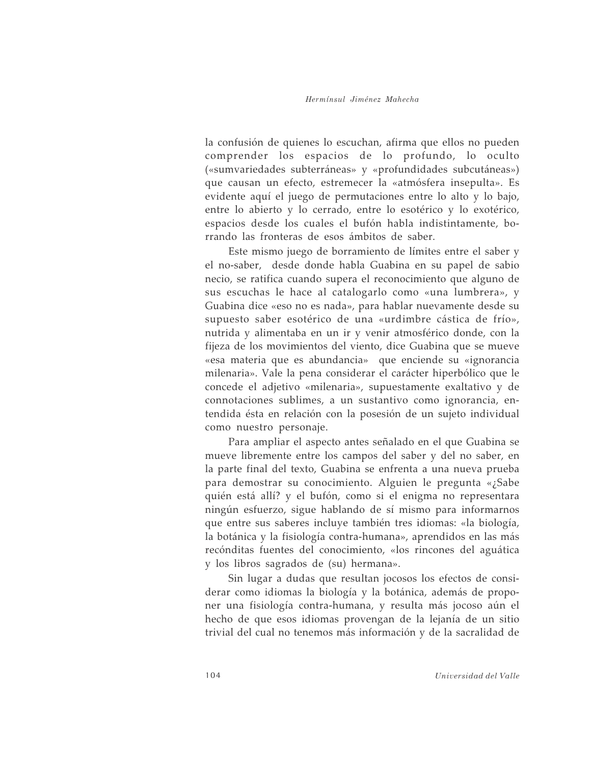la confusión de quienes lo escuchan, afirma que ellos no pueden comprender los espacios de lo profundo, lo oculto («sumvariedades subterráneas» y «profundidades subcutáneas») que causan un efecto, estremecer la «atmósfera insepulta». Es evidente aquí el juego de permutaciones entre lo alto y lo bajo, entre lo abierto y lo cerrado, entre lo esotérico y lo exotérico, espacios desde los cuales el bufón habla indistintamente, borrando las fronteras de esos ámbitos de saber.

Este mismo juego de borramiento de límites entre el saber y el no-saber, desde donde habla Guabina en su papel de sabio necio, se ratifica cuando supera el reconocimiento que alguno de sus escuchas le hace al catalogarlo como «una lumbrera», y Guabina dice «eso no es nada», para hablar nuevamente desde su supuesto saber esotérico de una «urdimbre cástica de frío», nutrida y alimentaba en un ir y venir atmosférico donde, con la fijeza de los movimientos del viento, dice Guabina que se mueve «esa materia que es abundancia» que enciende su «ignorancia milenaria». Vale la pena considerar el carácter hiperbólico que le concede el adjetivo «milenaria», supuestamente exaltativo y de connotaciones sublimes, a un sustantivo como ignorancia, entendida ésta en relación con la posesión de un sujeto individual como nuestro personaje.

Para ampliar el aspecto antes señalado en el que Guabina se mueve libremente entre los campos del saber y del no saber, en la parte final del texto, Guabina se enfrenta a una nueva prueba para demostrar su conocimiento. Alguien le pregunta «¿Sabe quién está allí? y el bufón, como si el enigma no representara ningún esfuerzo, sigue hablando de sí mismo para informarnos que entre sus saberes incluye también tres idiomas: «la biología, la botánica y la fisiología contra-humana», aprendidos en las más recónditas fuentes del conocimiento, «los rincones del aguática y los libros sagrados de (su) hermana».

Sin lugar a dudas que resultan jocosos los efectos de considerar como idiomas la biología y la botánica, además de proponer una fisiología contra-humana, y resulta más jocoso aún el hecho de que esos idiomas provengan de la lejanía de un sitio trivial del cual no tenemos más información y de la sacralidad de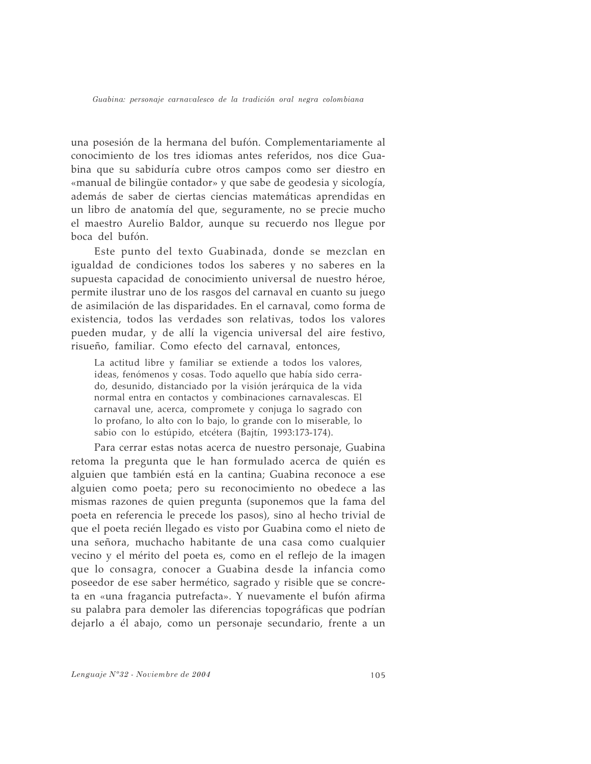una posesión de la hermana del bufón. Complementariamente al conocimiento de los tres idiomas antes referidos, nos dice Guabina que su sabiduría cubre otros campos como ser diestro en «manual de bilingüe contador» y que sabe de geodesia y sicología, además de saber de ciertas ciencias matemáticas aprendidas en un libro de anatomía del que, seguramente, no se precie mucho el maestro Aurelio Baldor, aunque su recuerdo nos llegue por boca del bufón.

Este punto del texto Guabinada, donde se mezclan en igualdad de condiciones todos los saberes y no saberes en la supuesta capacidad de conocimiento universal de nuestro héroe, permite ilustrar uno de los rasgos del carnaval en cuanto su juego de asimilación de las disparidades. En el carnaval, como forma de existencia, todos las verdades son relativas, todos los valores pueden mudar, y de allí la vigencia universal del aire festivo, risueño, familiar. Como efecto del carnaval, entonces,

La actitud libre y familiar se extiende a todos los valores, ideas, fenómenos y cosas. Todo aquello que había sido cerrado, desunido, distanciado por la visión jerárquica de la vida normal entra en contactos y combinaciones carnavalescas. El carnaval une, acerca, compromete y conjuga lo sagrado con lo profano, lo alto con lo bajo, lo grande con lo miserable, lo sabio con lo estúpido, etcétera (Bajtín, 1993:173-174).

Para cerrar estas notas acerca de nuestro personaje, Guabina retoma la pregunta que le han formulado acerca de quién es alguien que también está en la cantina; Guabina reconoce a ese alguien como poeta; pero su reconocimiento no obedece a las mismas razones de quien pregunta (suponemos que la fama del poeta en referencia le precede los pasos), sino al hecho trivial de que el poeta recién llegado es visto por Guabina como el nieto de una señora, muchacho habitante de una casa como cualquier vecino y el mérito del poeta es, como en el reflejo de la imagen que lo consagra, conocer a Guabina desde la infancia como poseedor de ese saber hermético, sagrado y risible que se concreta en «una fragancia putrefacta». Y nuevamente el bufón afirma su palabra para demoler las diferencias topográficas que podrían dejarlo a él abajo, como un personaje secundario, frente a un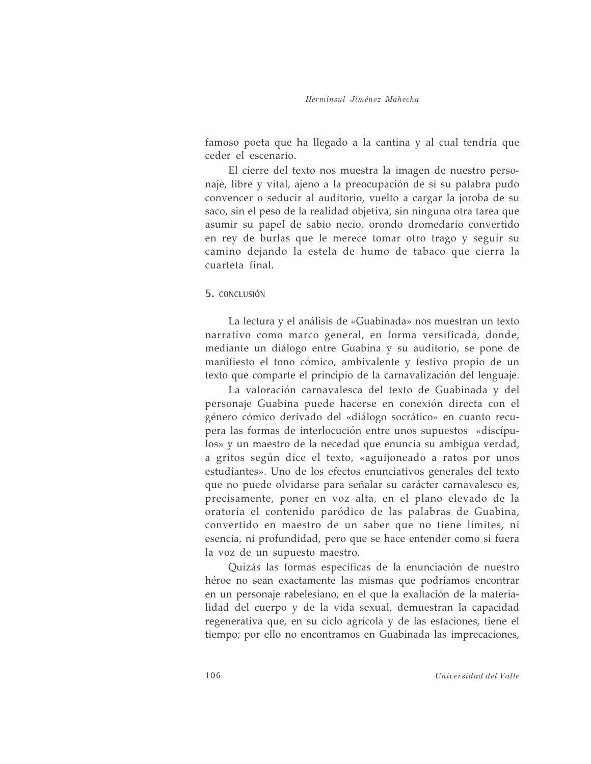famoso poeta que ha llegado a la cantina y al cual tendría que ceder el escenario.

El cierre del texto nos muestra la imagen de nuestro personaje, libre y vital, ajeno a la preocupación de si su palabra pudo convencer o seducir al auditorio, vuelto a cargar la joroba de su saco, sin el peso de la realidad objetiva, sin ninguna otra tarea que asumir su papel de sabio necio, orondo dromedario convertido en rey de burlas que le merece tomar otro trago y seguir su camino dejando la estela de humo de tabaco que cierra la cuarteta final.

# 5. CONCLUSIÓN

La lectura y el análisis de «Guabinada» nos muestran un texto narrativo como marco general, en forma versificada, donde, mediante un diálogo entre Guabina y su auditorio, se pone de manifiesto el tono cómico, ambivalente y festivo propio de un texto que comparte el principio de la carnavalización del lenguaje.

La valoración carnavalesca del texto de Guabinada y del personaje Guabina puede hacerse en conexión directa con el género cómico derivado del «diálogo socrático» en cuanto recupera las formas de interlocución entre unos supuestos «discípulos» y un maestro de la necedad que enuncia su ambigua verdad, a gritos según dice el texto, «aguijoneado a ratos por unos estudiantes». Uno de los efectos enunciativos generales del texto que no puede olvidarse para señalar su carácter carnavalesco es, precisamente, poner en voz alta, en el plano elevado de la oratoria el contenido paródico de las palabras de Guabina, convertido en maestro de un saber que no tiene límites, ni esencia, ni profundidad, pero que se hace entender como si fuera la voz de un supuesto maestro.

Quizás las formas específicas de la enunciación de nuestro héroe no sean exactamente las mismas que podríamos encontrar en un personaje rabelesiano, en el que la exaltación de la materialidad del cuerpo y de la vida sexual, demuestran la capacidad regenerativa que, en su ciclo agrícola y de las estaciones, tiene el tiempo; por ello no encontramos en Guabinada las imprecaciones,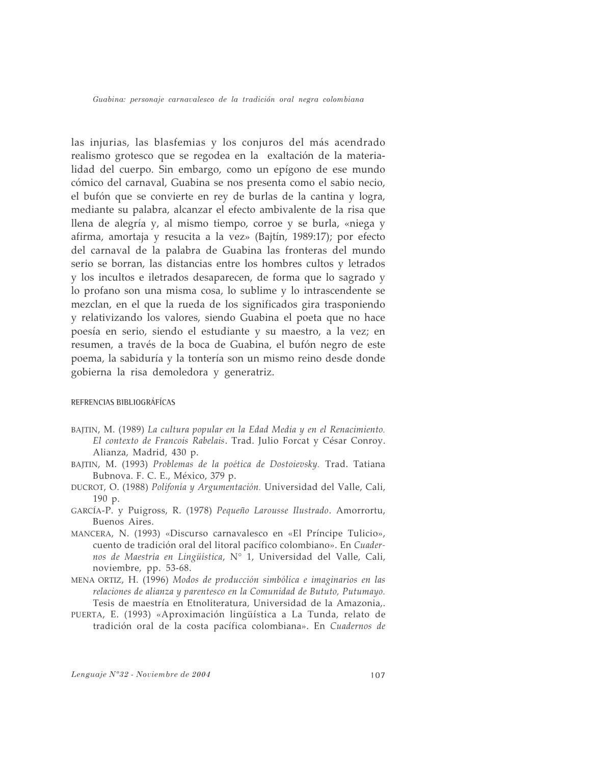las injurias, las blasfemias y los conjuros del más acendrado realismo grotesco que se regodea en la exaltación de la materialidad del cuerpo. Sin embargo, como un epígono de ese mundo cómico del carnaval, Guabina se nos presenta como el sabio necio, el bufón que se convierte en rey de burlas de la cantina y logra, mediante su palabra, alcanzar el efecto ambivalente de la risa que llena de alegría y, al mismo tiempo, corroe y se burla, «niega y afirma, amortaja y resucita a la vez» (Bajtín, 1989:17); por efecto del carnaval de la palabra de Guabina las fronteras del mundo serio se borran, las distancias entre los hombres cultos y letrados y los incultos e iletrados desaparecen, de forma que lo sagrado y lo profano son una misma cosa, lo sublime y lo intrascendente se mezclan, en el que la rueda de los significados gira trasponiendo y relativizando los valores, siendo Guabina el poeta que no hace poesía en serio, siendo el estudiante y su maestro, a la vez; en resumen, a través de la boca de Guabina, el bufón negro de este poema, la sabiduría y la tontería son un mismo reino desde donde gobierna la risa demoledora y generatriz.

#### REFRENCIAS BIBLIOGRÁFÍCAS

- BAJTIN, M. (1989) La cultura popular en la Edad Media y en el Renacimiento. El contexto de Francois Rabelais. Trad. Julio Forcat y César Conroy. Alianza, Madrid, 430 p.
- BAJTIN, M. (1993) Problemas de la poética de Dostoievsky. Trad. Tatiana Bubnova. F. C. E., México, 379 p.
- DUCROT, O. (1988) Polifonía y Argumentación. Universidad del Valle, Cali, 190 p.
- GARCÍA-P. y Puigross, R. (1978) Pequeño Larousse Ilustrado. Amorrortu, Buenos Aires.
- MANCERA, N. (1993) «Discurso carnavalesco en «El Príncipe Tulicio», cuento de tradición oral del litoral pacífico colombiano». En Cuadernos de Maestría en Lingüística, Nº 1, Universidad del Valle, Cali, noviembre, pp. 53-68.
- MENA ORTIZ, H. (1996) Modos de producción simbólica e imaginarios en las relaciones de alianza y parentesco en la Comunidad de Bututo, Putumayo. Tesis de maestría en Etnoliteratura, Universidad de la Amazonia,.
- PUERTA, E. (1993) «Aproximación lingüística a La Tunda, relato de tradición oral de la costa pacífica colombiana». En Cuadernos de

Lenguaje N°32 - Noviembre de 2004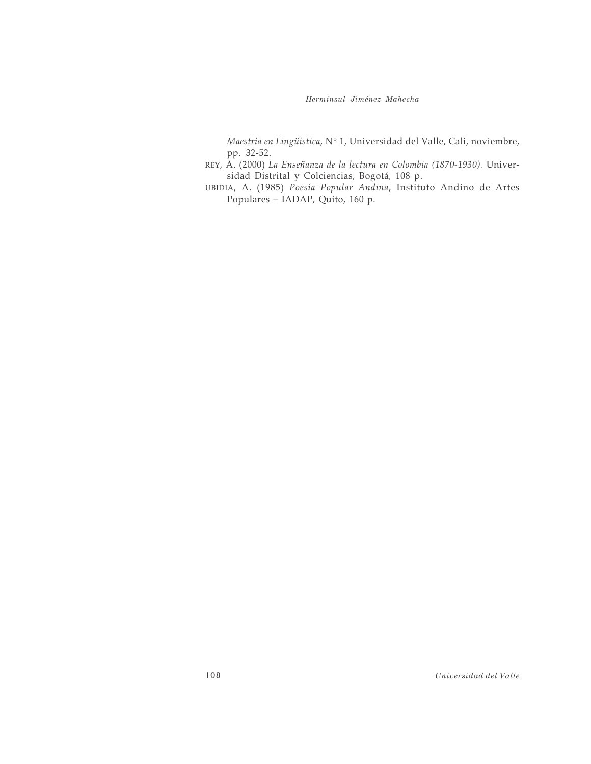Hermínsul Jiménez Mahecha

Maestría en Lingüística,  $N^{\circ}$  1, Universidad del Valle, Cali, noviembre, pp. 32-52.

- REY, A. (2000) La Enseñanza de la lectura en Colombia (1870-1930). Universidad Distrital y Colciencias, Bogotá, 108 p.
- UBIDIA, A. (1985) Poesía Popular Andina, Instituto Andino de Artes Populares - IADAP, Quito, 160 p.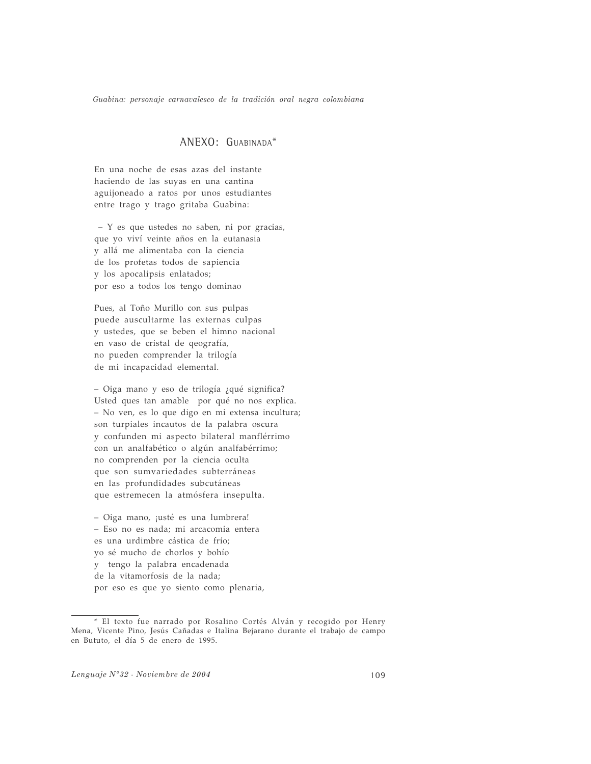# ANEXO: GUABINADA\*

En una noche de esas azas del instante haciendo de las suyas en una cantina aguijoneado a ratos por unos estudiantes entre trago y trago gritaba Guabina:

- Y es que ustedes no saben, ni por gracias, que yo viví veinte años en la eutanasia y allá me alimentaba con la ciencia de los profetas todos de sapiencia y los apocalipsis enlatados; por eso a todos los tengo dominao

Pues, al Toño Murillo con sus pulpas puede auscultarme las externas culpas y ustedes, que se beben el himno nacional en vaso de cristal de qeografía, no pueden comprender la trilogía de mi incapacidad elemental.

- Oiga mano y eso de trilogía ¿qué significa? Usted ques tan amable por qué no nos explica. - No ven, es lo que digo en mi extensa incultura; son turpiales incautos de la palabra oscura y confunden mi aspecto bilateral manflérrimo con un analfabético o algún analfabérrimo; no comprenden por la ciencia oculta que son sumvariedades subterráneas en las profundidades subcutáneas que estremecen la atmósfera insepulta.

- Oiga mano, ¡usté es una lumbrera! - Eso no es nada; mi arcacomia entera es una urdimbre cástica de frío; yo sé mucho de chorlos y bohío y tengo la palabra encadenada de la vitamorfosis de la nada; por eso es que yo siento como plenaria,

Lenguaje N°32 - Noviembre de 2004

<sup>\*</sup> El texto fue narrado por Rosalino Cortés Alván y recogido por Henry Mena, Vicente Pino, Jesús Cañadas e Italina Bejarano durante el trabajo de campo en Bututo, el día 5 de enero de 1995.